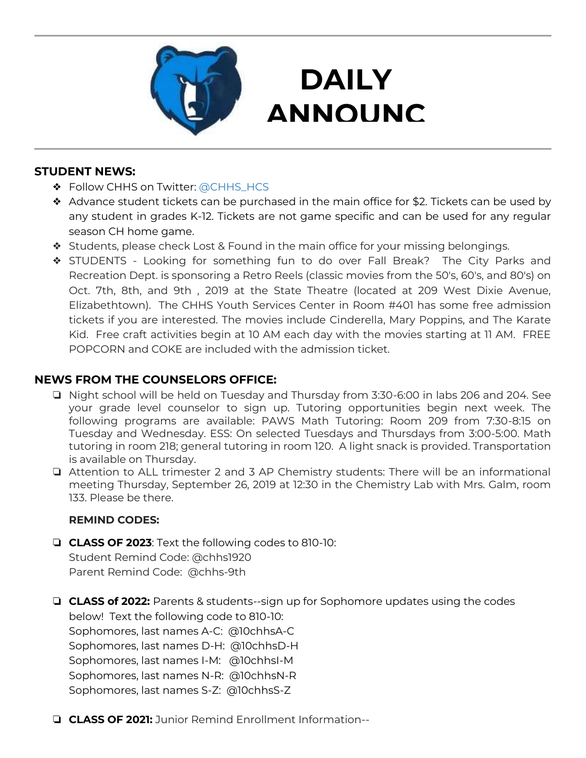

## **DAILY ANNOUNC**

**EMENTS** 

### **STUDENT NEWS:**

- ❖ Follow CHHS on Twitter: [@CHHS\\_HCS](https://twitter.com/CHHS_HCS)
- ❖ Advance student tickets can be purchased in the main office for \$2. Tickets can be used by any student in grades K-12. Tickets are not game specific and can be used for any regular season CH home game.
- ❖ Students, please check Lost & Found in the main office for your missing belongings.
- ❖ STUDENTS Looking for something fun to do over Fall Break? The City Parks and Recreation Dept. is sponsoring a Retro Reels (classic movies from the 50's, 60's, and 80's) on Oct. 7th, 8th, and 9th , 2019 at the State Theatre (located at 209 West Dixie Avenue, Elizabethtown). The CHHS Youth Services Center in Room #401 has some free admission tickets if you are interested. The movies include Cinderella, Mary Poppins, and The Karate Kid. Free craft activities begin at 10 AM each day with the movies starting at 11 AM. FREE POPCORN and COKE are included with the admission ticket.

### **NEWS FROM THE COUNSELORS OFFICE:**

- ❏ Night school will be held on Tuesday and Thursday from 3:30-6:00 in labs 206 and 204. See your grade level counselor to sign up. Tutoring opportunities begin next week. The following programs are available: PAWS Math Tutoring: Room 209 from 7:30-8:15 on Tuesday and Wednesday. ESS: On selected Tuesdays and Thursdays from 3:00-5:00. Math tutoring in room 218; general tutoring in room 120. A light snack is provided. Transportation is available on Thursday.
- ❏ Attention to ALL trimester 2 and 3 AP Chemistry students: There will be an informational meeting Thursday, September 26, 2019 at 12:30 in the Chemistry Lab with Mrs. Galm, room 133. Please be there.

#### **REMIND CODES:**

- ❏ **CLASS OF 2023**: Text the following codes to 810-10: Student Remind Code: @chhs1920 Parent Remind Code: @chhs-9th
- ❏ **CLASS of 2022:** Parents & students--sign up for Sophomore updates using the codes below! Text the following code to 810-10: Sophomores, last names A-C: @10chhsA-C Sophomores, last names D-H: @10chhsD-H Sophomores, last names I-M: @10chhsI-M Sophomores, last names N-R: @10chhsN-R Sophomores, last names S-Z: @10chhsS-Z
- ❏ **CLASS OF 2021:** Junior Remind Enrollment Information--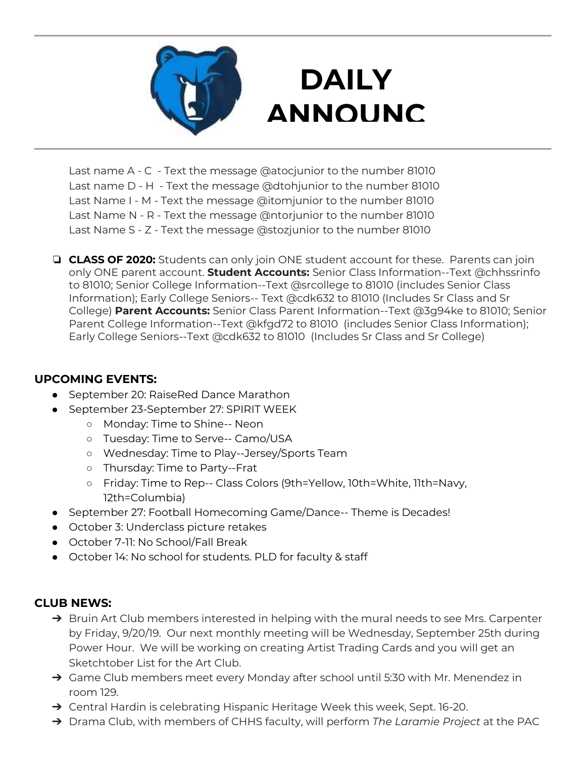

# **DAILY ANNOUNC**

**EMENTS** Last name A - C - Text the message @atocjunior to the number 81010 Last name D - H - Text the message @dtohjunior to the number 81010 Last Name I - M - Text the message @itomjunior to the number 81010 Last Name N - R - Text the message @ntorjunior to the number 81010 Last Name S - Z - Text the message @stozjunior to the number 81010

❏ **CLASS OF 2020:** Students can only join ONE student account for these. Parents can join only ONE parent account. **Student Accounts:** Senior Class Information--Text @chhssrinfo to 81010; Senior College Information--Text @srcollege to 81010 (includes Senior Class Information); Early College Seniors-- Text @cdk632 to 81010 (Includes Sr Class and Sr College) **Parent Accounts:** Senior Class Parent Information--Text @3g94ke to 81010; Senior Parent College Information--Text @kfgd72 to 81010 (includes Senior Class Information); Early College Seniors--Text @cdk632 to 81010 (Includes Sr Class and Sr College)

### **UPCOMING EVENTS:**

- September 20: RaiseRed Dance Marathon
- September 23-September 27: SPIRIT WEEK
	- Monday: Time to Shine-- Neon
	- Tuesday: Time to Serve-- Camo/USA
	- Wednesday: Time to Play--Jersey/Sports Team
	- Thursday: Time to Party--Frat
	- Friday: Time to Rep-- Class Colors (9th=Yellow, 10th=White, 11th=Navy, 12th=Columbia)
- September 27: Football Homecoming Game/Dance-- Theme is Decades!
- October 3: Underclass picture retakes
- October 7-11: No School/Fall Break
- October 14: No school for students. PLD for faculty & staff

### **CLUB NEWS:**

- → Bruin Art Club members interested in helping with the mural needs to see Mrs. Carpenter by Friday, 9/20/19. Our next monthly meeting will be Wednesday, September 25th during Power Hour. We will be working on creating Artist Trading Cards and you will get an Sketchtober List for the Art Club.
- → Game Club members meet every Monday after school until 5:30 with Mr. Menendez in room 129.
- → Central Hardin is celebrating Hispanic Heritage Week this week, Sept. 16-20.
- ➔ Drama Club, with members of CHHS faculty, will perform *The Laramie Project* at the PAC